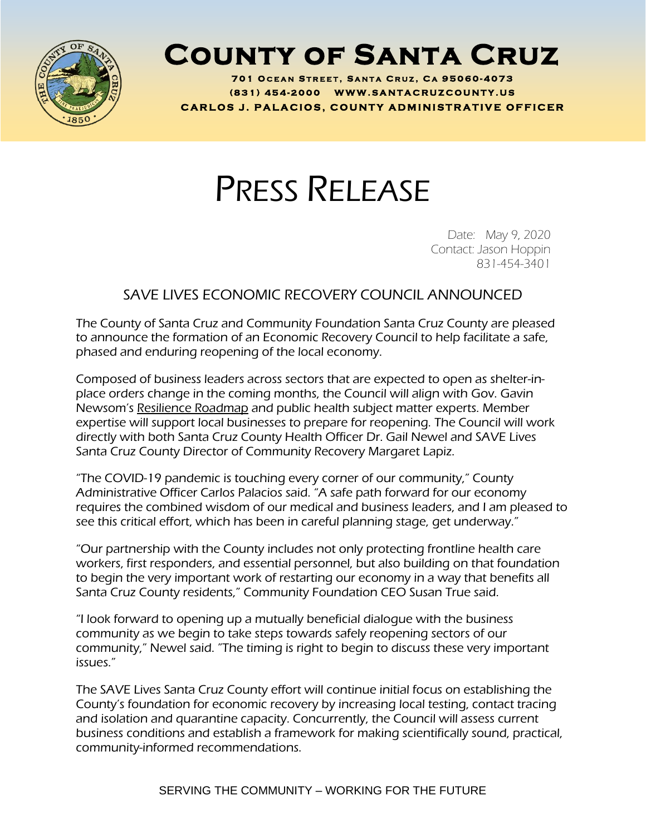

## **County of Santa Cruz**

**701 O C E A N S T R E E T , S A N T A C R U Z , C A 95060 - 4073 ( 8 3 1 ) <sup>454</sup> - <sup>2000</sup> W W W . S A N T A C R U Z C O U N T Y . U S C A R L O S J . P A L A C I O S , C O U N T Y A D M I N I S T R A T I V E O F F I C E R**

## PRESS RELEASE

Date: May 9, 2020 Contact: Jason Hoppin 831-454-3401

## SAVE LIVES ECONOMIC RECOVERY COUNCIL ANNOUNCED

The County of Santa Cruz and Community Foundation Santa Cruz County are pleased to announce the formation of an Economic Recovery Council to help facilitate a safe, phased and enduring reopening of the local economy.

Composed of business leaders across sectors that are expected to open as shelter-inplace orders change in the coming months, the Council will align with Gov. Gavin Newsom's [Resilience](https://covid19.ca.gov/roadmap/) Roadmap and public health subject matter experts. Member expertise will support local businesses to prepare for reopening. The Council will work directly with both Santa Cruz County Health Officer Dr. Gail Newel and SAVE Lives Santa Cruz County Director of Community Recovery Margaret Lapiz.

"The COVID-19 pandemic is touching every corner of our community," County Administrative Officer Carlos Palacios said. "A safe path forward for our economy requires the combined wisdom of our medical and business leaders, and I am pleased to see this critical effort, which has been in careful planning stage, get underway."

"Our partnership with the County includes not only protecting frontline health care workers, first responders, and essential personnel, but also building on that foundation to begin the very important work of restarting our economy in a way that benefits all Santa Cruz County residents," Community Foundation CEO Susan True said.

"I look forward to opening up a mutually beneficial dialogue with the business community as we begin to take steps towards safely reopening sectors of our community," Newel said. "The timing is right to begin to discuss these very important issues."

The SAVE Lives Santa Cruz County effort will continue initial focus on establishing the County's foundation for economic recovery by increasing local testing, contact tracing and isolation and quarantine capacity. Concurrently, the Council will assess current business conditions and establish a framework for making scientifically sound, practical, community-informed recommendations.